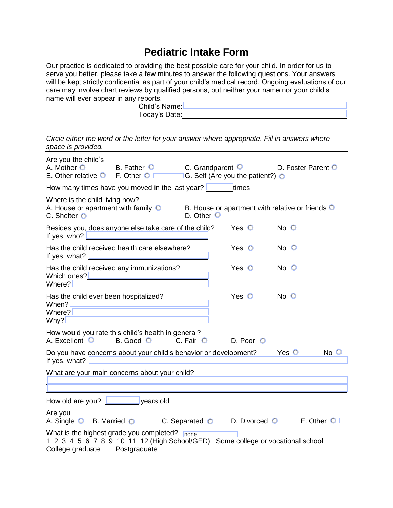## **Pediatric Intake Form**

Our practice is dedicated to providing the best possible care for your child. In order for us to serve you better, please take a few minutes to answer the following questions. Your answers will be kept strictly confidential as part of your child's medical record. Ongoing evaluations of our care may involve chart reviews by qualified persons, but neither your name nor your child's name will ever appear in any reports. Child's Name: Today's Date:

*Circle either the word or the letter for your answer where appropriate. Fill in answers where space is provided.*

| Are you the child's<br>A. Mother O<br>E. Other relative $\bigcirc$ F. Other $\bigcirc$ $\Box$ G. Self (Are you the patient?) $\bigcirc$                                                    | B. Father C C. Grandparent O |                  |               | D. Foster Parent O |          |
|--------------------------------------------------------------------------------------------------------------------------------------------------------------------------------------------|------------------------------|------------------|---------------|--------------------|----------|
| How many times have you moved in the last year? <u>Lessen times</u>                                                                                                                        |                              |                  |               |                    |          |
| Where is the child living now?<br>A. House or apartment with family $\bigcirc$ B. House or apartment with relative or friends $\bigcirc$<br>$C.$ Shelter $O$                               |                              | D. Other $\circ$ |               |                    |          |
| Besides you, does anyone else take care of the child?                                                                                                                                      |                              |                  | Yes O         | $No$ $O$           |          |
| Has the child received health care elsewhere?<br>If yes, what? $\Box$                                                                                                                      |                              |                  | Yes $\circ$   | $No$ $O$           |          |
| Has the child received any immunizations?<br>Which ones? <u>  ______________________________</u><br>Where?                                                                                 |                              |                  | $Yes$ $\circ$ | $No$ $O$           |          |
| Has the child ever been hospitalized?                                                                                                                                                      |                              |                  | Yes $\circ$   | $No$ $O$           |          |
| How would you rate this child's health in general?<br>A. Excellent O                                                                                                                       | B. Good O C. Fair O          |                  | D. Poor O     |                    |          |
| Do you have concerns about your child's behavior or development?<br>If yes, what? <u>Decree and the set of the set of the set of the set of the set of the set of the set of the set o</u> |                              |                  |               | $Yes$ $\odot$      | $No$ $O$ |
| What are your main concerns about your child?                                                                                                                                              |                              |                  |               |                    |          |
| How old are you? <u>New State State and years old</u>                                                                                                                                      |                              |                  |               |                    |          |
| Are you<br>A. Single O B. Married O C. Separated O D. Divorced O E. Other O                                                                                                                |                              |                  |               |                    |          |
| What is the highest grade you completed? none<br>1 2 3 4 5 6 7 8 9 10 11 12 (High School/GED) Some college or vocational school<br>College graduate                                        | Postgraduate                 |                  |               |                    |          |